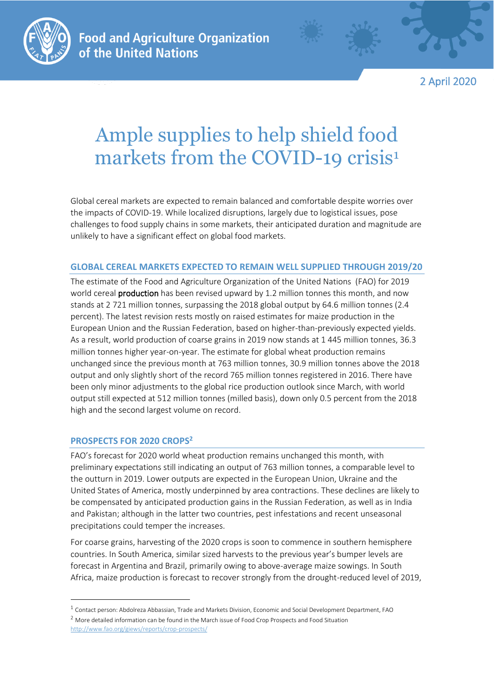

2 April 2020

## Ample supplies to help shield food markets from the COVID-19 crisis<sup>1</sup>

Global cereal markets are expected to remain balanced and comfortable despite worries over the impacts of COVID-19. While localized disruptions, largely due to logistical issues, pose challenges to food supply chains in some markets, their anticipated duration and magnitude are unlikely to have a significant effect on global food markets.

## **GLOBAL CEREAL MARKETS EXPECTED TO REMAIN WELL SUPPLIED THROUGH 2019/20**

The estimate of the Food and Agriculture Organization of the United Nations (FAO) for 2019 world cereal **production** has been revised upward by 1.2 million tonnes this month, and now stands at 2 721 million tonnes, surpassing the 2018 global output by 64.6 million tonnes (2.4 percent). The latest revision rests mostly on raised estimates for maize production in the European Union and the Russian Federation, based on higher-than-previously expected yields. As a result, world production of coarse grains in 2019 now stands at 1 445 million tonnes, 36.3 million tonnes higher year-on-year. The estimate for global wheat production remains unchanged since the previous month at 763 million tonnes, 30.9 million tonnes above the 2018 output and only slightly short of the record 765 million tonnes registered in 2016. There have been only minor adjustments to the global rice production outlook since March, with world output still expected at 512 million tonnes (milled basis), down only 0.5 percent from the 2018 high and the second largest volume on record.

## **PROSPECTS FOR 2020 CROPS<sup>2</sup>**

FAO's forecast for 2020 world wheat production remains unchanged this month, with preliminary expectations still indicating an output of 763 million tonnes, a comparable level to the outturn in 2019. Lower outputs are expected in the European Union, Ukraine and the United States of America, mostly underpinned by area contractions. These declines are likely to be compensated by anticipated production gains in the Russian Federation, as well as in India and Pakistan; although in the latter two countries, pest infestations and recent unseasonal precipitations could temper the increases.

For coarse grains, harvesting of the 2020 crops is soon to commence in southern hemisphere countries. In South America, similar sized harvests to the previous year's bumper levels are forecast in Argentina and Brazil, primarily owing to above-average maize sowings. In South Africa, maize production is forecast to recover strongly from the drought-reduced level of 2019,

<sup>1</sup> Contact person: Abdolreza Abbassian, Trade and Markets Division, Economic and Social Development Department, FAO

<sup>&</sup>lt;sup>2</sup> More detailed information can be found in the March issue of Food Crop Prospects and Food Situation <http://www.fao.org/giews/reports/crop-prospects/>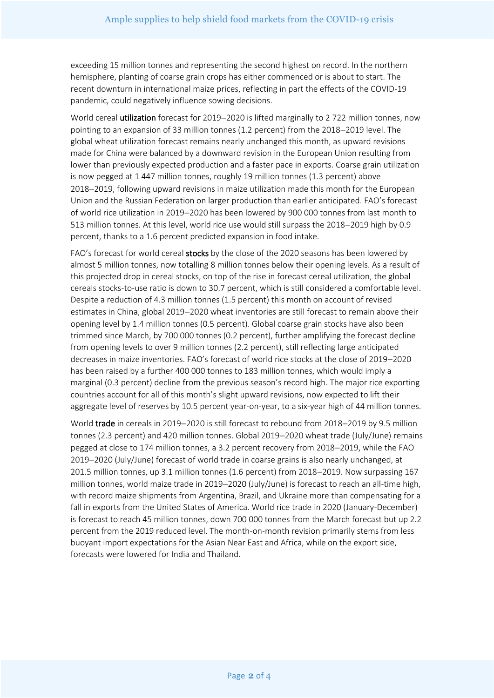exceeding 15 million tonnes and representing the second highest on record. In the northern hemisphere, planting of coarse grain crops has either commenced or is about to start. The recent downturn in international maize prices, reflecting in part the effects of the COVID-19 pandemic, could negatively influence sowing decisions.

World cereal utilization forecast for 2019-2020 is lifted marginally to 2 722 million tonnes, now pointing to an expansion of 33 million tonnes (1.2 percent) from the 2018−2019 level. The global wheat utilization forecast remains nearly unchanged this month, as upward revisions made for China were balanced by a downward revision in the European Union resulting from lower than previously expected production and a faster pace in exports. Coarse grain utilization is now pegged at 1 447 million tonnes, roughly 19 million tonnes (1.3 percent) above 2018−2019, following upward revisions in maize utilization made this month for the European Union and the Russian Federation on larger production than earlier anticipated. FAO's forecast of world rice utilization in 2019−2020 has been lowered by 900 000 tonnes from last month to 513 million tonnes. At this level, world rice use would still surpass the 2018−2019 high by 0.9 percent, thanks to a 1.6 percent predicted expansion in food intake.

FAO's forecast for world cereal stocks by the close of the 2020 seasons has been lowered by almost 5 million tonnes, now totalling 8 million tonnes below their opening levels. As a result of this projected drop in cereal stocks, on top of the rise in forecast cereal utilization, the global cereals stocks-to-use ratio is down to 30.7 percent, which is still considered a comfortable level. Despite a reduction of 4.3 million tonnes (1.5 percent) this month on account of revised estimates in China, global 2019−2020 wheat inventories are still forecast to remain above their opening level by 1.4 million tonnes (0.5 percent). Global coarse grain stocks have also been trimmed since March, by 700 000 tonnes (0.2 percent), further amplifying the forecast decline from opening levels to over 9 million tonnes (2.2 percent), still reflecting large anticipated decreases in maize inventories. FAO's forecast of world rice stocks at the close of 2019−2020 has been raised by a further 400 000 tonnes to 183 million tonnes, which would imply a marginal (0.3 percent) decline from the previous season's record high. The major rice exporting countries account for all of this month's slight upward revisions, now expected to lift their aggregate level of reserves by 10.5 percent year-on-year, to a six-year high of 44 million tonnes.

World trade in cereals in 2019−2020 is still forecast to rebound from 2018−2019 by 9.5 million tonnes (2.3 percent) and 420 million tonnes. Global 2019−2020 wheat trade (July/June) remains pegged at close to 174 million tonnes, a 3.2 percent recovery from 2018−2019, while the FAO 2019−2020 (July/June) forecast of world trade in coarse grains is also nearly unchanged, at 201.5 million tonnes, up 3.1 million tonnes (1.6 percent) from 2018−2019. Now surpassing 167 million tonnes, world maize trade in 2019−2020 (July/June) is forecast to reach an all-time high, with record maize shipments from Argentina, Brazil, and Ukraine more than compensating for a fall in exports from the United States of America. World rice trade in 2020 (January-December) is forecast to reach 45 million tonnes, down 700 000 tonnes from the March forecast but up 2.2 percent from the 2019 reduced level. The month-on-month revision primarily stems from less buoyant import expectations for the Asian Near East and Africa, while on the export side, forecasts were lowered for India and Thailand.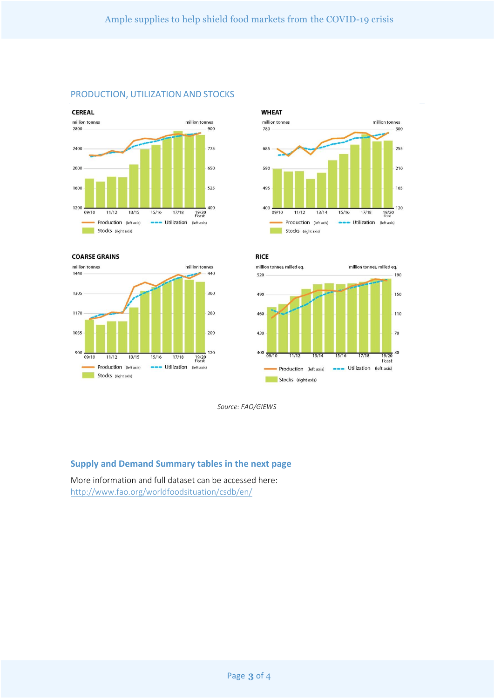











*Source: FAO/GIEWS*

## **Supply and Demand Summary tables in the next page**

More information and full dataset can be accessed here: <http://www.fao.org/worldfoodsituation/csdb/en/>